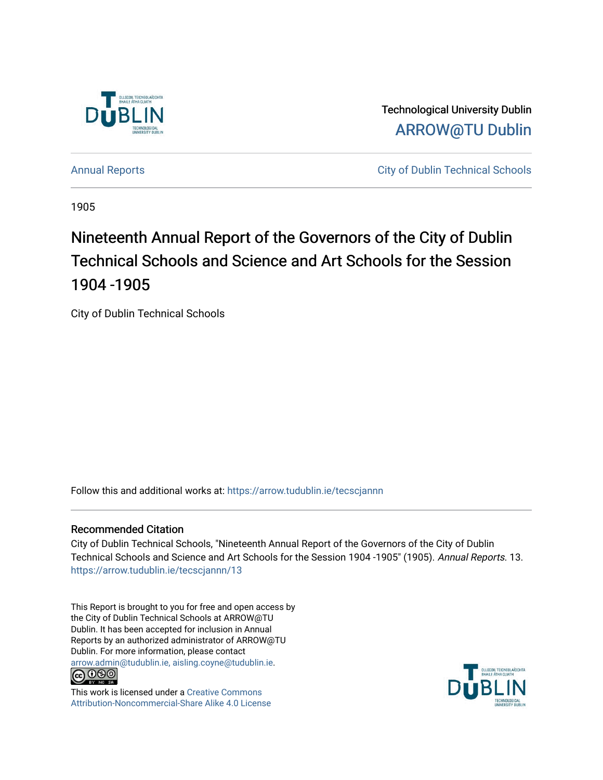

Technological University Dublin [ARROW@TU Dublin](https://arrow.tudublin.ie/) 

[Annual Reports](https://arrow.tudublin.ie/tecscjannn) **City of Dublin Technical Schools** 

1905

# Nineteenth Annual Report of the Governors of the City of Dublin Technical Schools and Science and Art Schools for the Session 1904 -1905

City of Dublin Technical Schools

Follow this and additional works at: [https://arrow.tudublin.ie/tecscjannn](https://arrow.tudublin.ie/tecscjannn?utm_source=arrow.tudublin.ie%2Ftecscjannn%2F13&utm_medium=PDF&utm_campaign=PDFCoverPages) 

#### Recommended Citation

City of Dublin Technical Schools, "Nineteenth Annual Report of the Governors of the City of Dublin Technical Schools and Science and Art Schools for the Session 1904 -1905" (1905). Annual Reports. 13. [https://arrow.tudublin.ie/tecscjannn/13](https://arrow.tudublin.ie/tecscjannn/13?utm_source=arrow.tudublin.ie%2Ftecscjannn%2F13&utm_medium=PDF&utm_campaign=PDFCoverPages) 

This Report is brought to you for free and open access by the City of Dublin Technical Schools at ARROW@TU Dublin. It has been accepted for inclusion in Annual Reports by an authorized administrator of ARROW@TU Dublin. For more information, please contact [arrow.admin@tudublin.ie, aisling.coyne@tudublin.ie](mailto:arrow.admin@tudublin.ie,%20aisling.coyne@tudublin.ie).



This work is licensed under a [Creative Commons](http://creativecommons.org/licenses/by-nc-sa/4.0/) [Attribution-Noncommercial-Share Alike 4.0 License](http://creativecommons.org/licenses/by-nc-sa/4.0/)

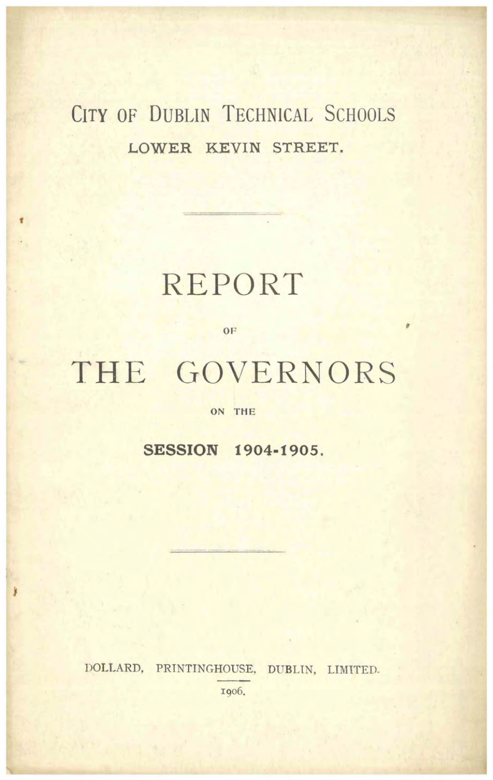CITY OF DUBLIN TECHNICAL SCHOOLS LOWER KEVIN STREET.

# REPORT

OF **OF** 

# THE GOVERNORS

ON THE

SESSION 1904-1905.

DOLLARD, PRINTINGHOUSE. DUBLIN, LIM1TED.

rgo6.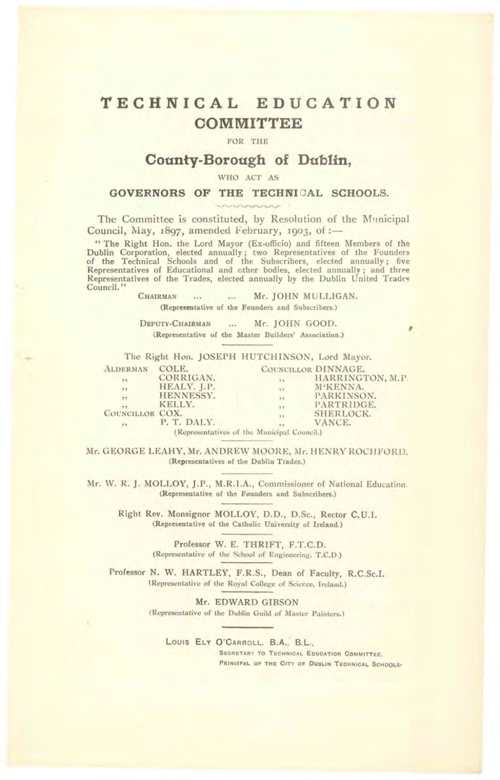## TECHNICAL EDUCATION **COMMITTEE**

#### FOR THE

#### County-Borough of Dublin,

WHO ACT AS

#### GOVERNORS OF THE TECHNICAL SCHOOLS.

The Committee is constituted, by Resolution of the Municipal Council, May, 1897, amended February, 1903, of :-

"The Right Hon. the Lord Mayor (Ex-officio) and fifteen Members of the Dublin Corporation, elected annually; two Representatives of the Founders<br>of the Technical Schools and of the Subscribers, elected annually; five<br>Representatives of Educational and other bodies, elected annually; and three Representatives of the Trades, elected annually by the Dublin United Trades Council."

CHAIRMAN ...  $\overline{\phantom{a}}$ Mr. JOHN MULLIGAN. (Representative of the Founders and Subscribers.)

DEPUTY-CHAIRMAN  $\cdots$ Mr. JOHN GOOD. (Representative of the Master Builders' Association.)

The Right Hon. JOSEPH HUTCHINSON, Lord Mayor.

| <b>ALDERMAN</b>          | COLE.                                       |    | COUNCILLOR DINNAGE. |
|--------------------------|---------------------------------------------|----|---------------------|
|                          | CORRIGAN.                                   |    | HARRINGTON, M.P.    |
| $\overline{\phantom{a}}$ | HEALY. J.P.                                 |    | M'KENNA.            |
| 53                       | HENNESSY.                                   | 13 | PARKINSON.          |
|                          | KELLY.                                      |    | PARTRIDGE.          |
| COUNCILLOR COX.          |                                             |    | SHERLOCK.           |
|                          | P. T. DALY.                                 |    | VANCE.              |
|                          | (Representatives of the Municipal Council.) |    |                     |

Mr. GEORGE LEAHY, Mr. ANDREW MOORE, Mr. HENRY ROCHFORD. (Representatives of the Dublin Trades.)

Mr. W. R. J. MOLLOY, J.P., M.R.I.A., Commissioner of National Education. (Representative of the Founders and Subscribers.)

Right Rev. Monsignor MOLLOY, D.D., D.Sc., Rector C.U.I. (Representative of the Catholic University of Ireland.)

> Professor W. E. THRIFT, F.T.C.D. (Representative of the School of Engineering, T.C.D.)

Professor N. W. HARTLEY, F.R.S., Dean of Faculty, R.C.Sc.I. (Representative of the Royal College of Science, Ireland.)

> Mr. EDWARD GIBSON (Representative of the Dublin Guild of Master Painters.)

LOUIS ELY O'CARROLL, B.A., B.L., SECRETARY TO TECHNICAL EDUCATION COMMITTEE. PRINCIPAL OF THE CITY OF DUBLIN TECHNICAL SCHOOLS.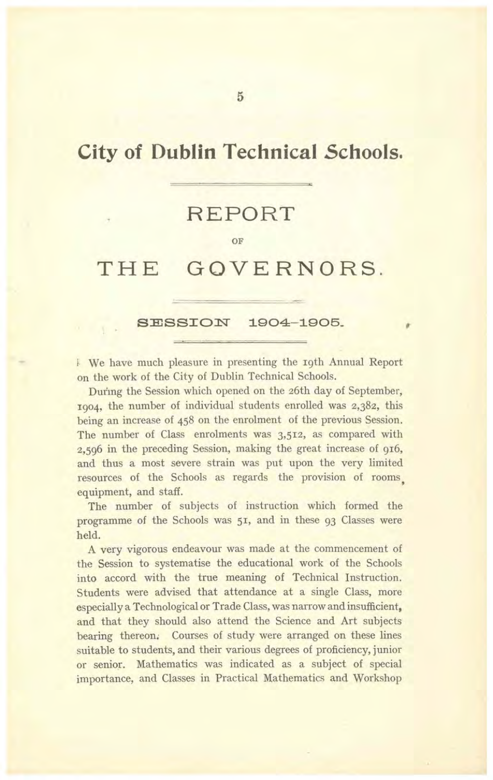# **City of Dublin Technical Schools.**

## **REPORT**

OF

# **THE GOVERNORS.**

#### **SESSION 1904-1905.**

,

We have much pleasure in presenting the 19th Annual Report on the work of the City of Dublin Technical Schools.

Duimg the Session which opened on the 26th day of September, 1904, the number of individual students enrolled was 2,382, this being an increase of 458 on the enrolment of the previous Session. The number of Class enrolments was 3,512, as compared with 2,596 in the preceding Session, making the great increase of 916, and thus a most severe strain was put upon the very limited resources of the Schools as regards the provision of rooms, equipment, and staff.

The number of subjects of instruction which formed the programme of the Schools was 51, and in these 93 Classes were held.

A very vigorous endeavour was made at the commencement of the Session to systematise the educational work of the Schools into accord with the true meaning of Technical Instruction. Students were advised that attendance at a single Class, more especially a Technological or Trade Class, was narrow and insufficient, and that they should also attend the Science and Art subjects bearing thereon; Courses of study were arranged on these lines suitable to students, and their various degrees of proficiency, junior or senior. Mathematics was indicated as a subject of special importance, and Classes in Practical Mathematics and Workshop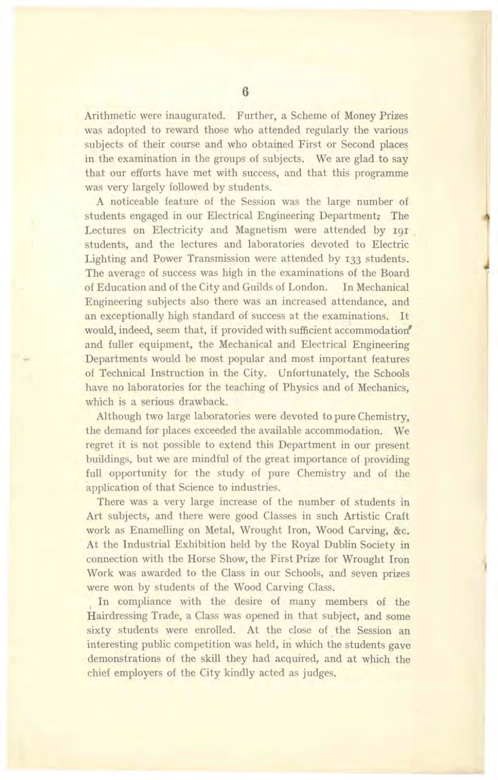Arithmetic were inaugurated. Further, a Scheme of Money Prizes was adopted to reward those who attended regularly the various subjects of their course and who obtained First or Second places in the examination in the groups of subjects. We are glad to say that our efforts have met with success, and that this programme was very largely followed by students.

A noticeable feature of the Session was the large number of students engaged in our Electrical Engineering Department; The Lectures on Electricity and Magnetism were attended by ror students, and the lectures and laboratories devoted to Electric Lighting and Power Transmission were attended by 133 students. The average of success was high in the examinations of the Board of Education and of the City and Guilds of London. In Mechanical Engineering subjects also there was an increased attendance, and an exceptionally high standard of success at the examinations. It would, indeed, seem that, if provided with sufficient accommodation' and fuller equipment, the Mechanical and Electrical Engineering Departments would be most popular and most important features of Technical Instruction in the City. Unfortunately, the Schools have no laboratories for the teaching of Physics and of Mechanics, which is a serious drawback.

Although two large laboratories were devoted to pure Chemistry, the demand for places exceeded the available accommodation. We regret it is not possible to extend this Department in our present buildings, but we are mindful of the great importance of providing full opportunity for the study of pure Chemistry and of the application of that Science to industries.

There was a very large increase of the number of students in Art subjects, and there were good Classes in such Artistic Craft work as Enamelling on Metal, Wrought Iron, Wood Carving, &c. At the Industrial Exhibition held by the Royal Dublin Society in connection with the Horse Show, the First Prize for Wrought Iron Work was awarded to the Class in our Schools, and seven prizes were won by students of the Wood Carving Class.

Hairdressing Trade, a Class was opened in that subject, and some In compliance with the desire of many members of the sixty students were enrolled. At the close of the Session an interesting public competition was held, in which the students gave demonstrations of the skill they had acquired, and at which the chief employers of the City kindly acted as judges.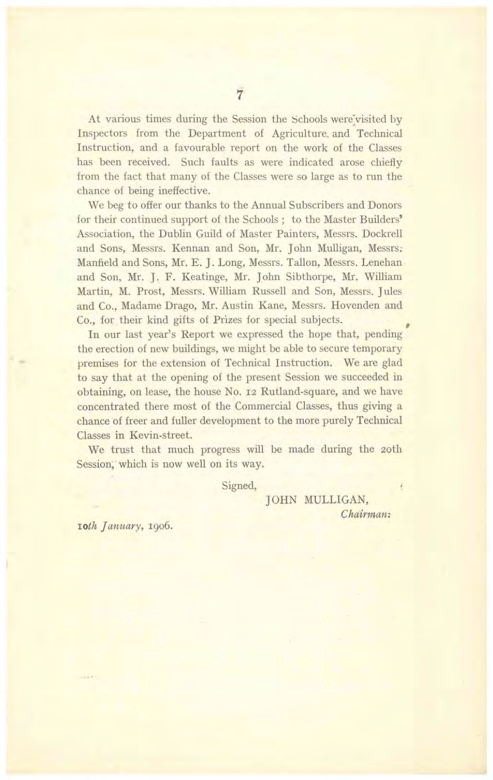At various times during the Session the Schools were visited by Inspectors from the Department of Agriculture. and Technical Instruction, and a favourable report on the work of the Classes has been received. Such faults as were indicated arose chiefly from the fact that many of the Classes were so large as to run the chance of being ineffective.

We beg *to* offer our thanks to the Annual Subscribers and Donors for their continued support of the Schools ; to the Master Builders' Association, the Dublin Guild of Master Painters, Messrs. Dockrell and Sons, Messrs. Kennan and Son, Mr. John Mulligan, Messrs: Manfield and Sons, Mr. E. J. Long, Messrs. Tallon, Messrs. Lenehan and Son, Mr. J. F. Keatinge, Mr. John Sibthorpe, Mr. William Martin, M. Prost, Messrs. William Russell and Son, Messrs. Jules and Co., Madame Drago, Mr. Austin Kane, Messrs. Hovenden and Co., for their kind gifts of Prizes for special subjects.

In our last year's Report we expressed the hope that, pending the erection of new buildings, we might be able to secure temporary premises for the extension of Technical Instruction. We are glad to say that at the opening of the present Session we succeeded in obtaining, on lease, the house No. 12 Rutland-square, and we have concentrated there most of the Commercial Classes, thus giving a chance of freer and fuller development to the more purely Technical Classes in Kevin-street.

We trust that much progress will be made during the 20th Session; which is now well on its way.

Signed,

JOHN MULLIGAN, *Chairman:* 

*roth January,* rgo6.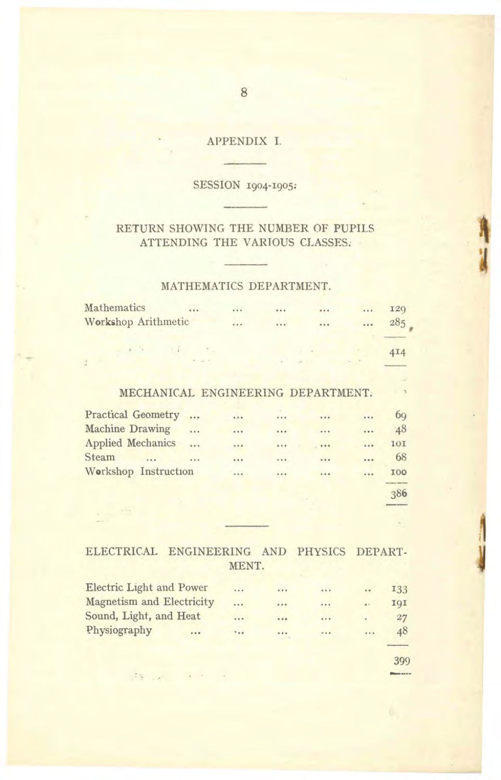#### APPENDIX I.

#### SESSION 1904-1905:

#### RETURN SHOWING THE NUMBER OF PUPILS ATTENDING THE VARIOUS CLASSES.

#### MATHEMATICS DEPARTMENT.

| Mathematics                        |                                                                 | .                        |   |                | .                    | <b>120</b> |
|------------------------------------|-----------------------------------------------------------------|--------------------------|---|----------------|----------------------|------------|
| Workshop Arithmetic                |                                                                 | .                        |   |                | .                    | 285        |
|                                    | $-3 - 1$                                                        |                          |   |                |                      | 4I4        |
| MECHANICAL ENGINEERING DEPARTMENT. |                                                                 |                          |   |                |                      |            |
| <b>Practical Geometry</b>          |                                                                 |                          |   |                | .                    | 69         |
| Machine Drawing                    |                                                                 |                          |   |                |                      | 48         |
| Applied Mechanics                  | $\dddotsc$                                                      |                          | . | . 111          |                      | IOI        |
| Steam<br>$\cdots$                  | $\cdots$                                                        |                          |   |                |                      | 68         |
| Workshop Instruction               |                                                                 |                          |   | .              | $\cdots$             | <b>IOO</b> |
|                                    |                                                                 |                          |   |                |                      | 386        |
|                                    |                                                                 |                          |   |                |                      |            |
| ELECTRICAL                         |                                                                 | ENGINEERING AND<br>MENT. |   | <b>PHYSICS</b> | DEPART-              |            |
| <b>Electric Light and Power</b>    |                                                                 |                          |   |                |                      | 133        |
| Magnetism and Electricity          |                                                                 |                          |   |                | $\ddot{\phantom{a}}$ | 191        |
| Sound, Light, and Heat             |                                                                 | .                        |   |                | $\epsilon$           | 27         |
| Physiography                       |                                                                 |                          |   |                |                      | 48         |
|                                    | $\frac{1}{2} \frac{1}{2} \frac{d\mathbf{r}}{dt} = -\frac{1}{2}$ |                          |   |                |                      | 399        |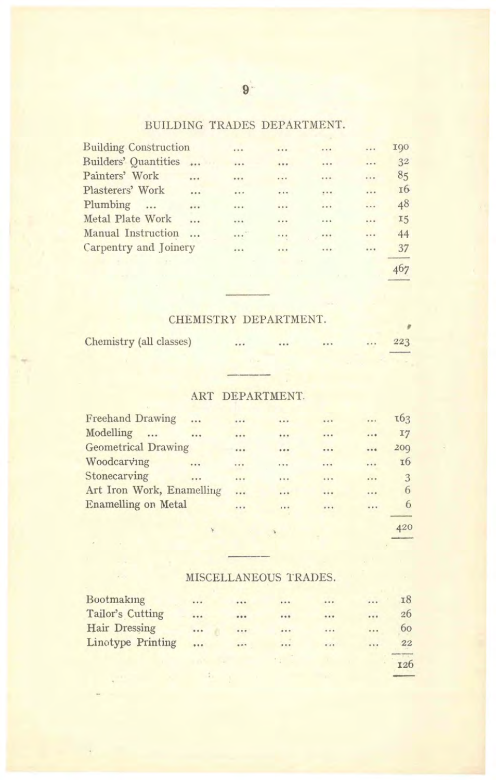#### $9 -$

#### BUILDING TRADES DEPARTMENT.

| <b>Building Construction</b> |          |          | $\cdots$ | . | .                    | <b>IQO</b> |
|------------------------------|----------|----------|----------|---|----------------------|------------|
| Builders' Quantities         | $\cdots$ |          |          |   | .                    | 32         |
| Painters' Work               |          |          |          |   | .                    | 85         |
| Plasterers' Work             | $\cdots$ |          | $\cdots$ |   |                      | <b>16</b>  |
| Plumbing<br>$\dddotsc$       |          |          |          |   | $\ddot{\phantom{a}}$ | 48         |
| Metal Plate Work             | $\cdots$ | $\cdots$ |          |   |                      | <b>I5</b>  |
| Manual Instruction           |          | $\cdots$ |          |   |                      | 44         |
| Carpentry and Joinery        |          | $\cdots$ |          |   |                      | 37         |
|                              |          |          |          |   |                      | 467        |

#### CHEMISTRY DEPARTMENT.

,

| Chemistry (all classes) |  |  | 223 |
|-------------------------|--|--|-----|
|                         |  |  |     |

#### ART DEPARTMENT.

| <b>Freehand Drawing</b>    | <br>.    | $\cdots$ | $-0.1$   | <br>t63       |
|----------------------------|----------|----------|----------|---------------|
| Modelling<br>$\cdots$      | <br>     |          |          | <br>I7        |
| <b>Geometrical Drawing</b> |          |          |          | <br>200       |
| Woodcarving                |          | .        |          | <br><b>16</b> |
| Stonecarving               | <br>     |          |          | <br>3         |
| Art Iron Work, Enamelling  | $\cdots$ | $\cdots$ | $\cdots$ | <br>6         |
| <b>Enamelling on Metal</b> |          | .        |          | <br>6         |
|                            |          |          |          |               |
|                            |          |          |          | 420           |

#### MISCELLANEOUS TRADES.

| Bootmaking        | <br> | <br>         | <br>18 |
|-------------------|------|--------------|--------|
| Tailor's Cutting  | <br> | <br>         | <br>26 |
| Hair Dressing     | <br> | <br>$\cdots$ | <br>60 |
| Linotype Printing | <br> | <br>         | <br>22 |
|                   |      |              |        |
|                   |      |              | 126    |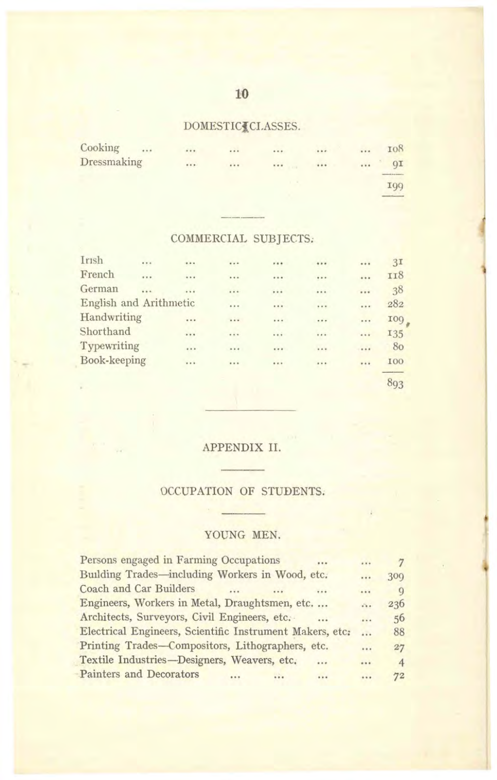## DOMESTIC CLASSES.

| Cooking<br> | <br>$\cdots$ |                 | <br>$\cdots$ | 108 |
|-------------|--------------|-----------------|--------------|-----|
| Dressmaking | <br>         | <b>APR</b> 2017 | <br>         | QI  |
|             |              |                 |              |     |
|             |              |                 |              | 100 |

## COMMERCIAL SUBJECTS;

| Irish                  |          |          |          |            |          |          | 3I         |
|------------------------|----------|----------|----------|------------|----------|----------|------------|
| French                 | $\cdots$ |          |          |            |          |          | <b>II8</b> |
| German                 | $\cdots$ | .        | $\cdots$ | $\dddotsc$ | $\cdots$ |          | 38         |
| English and Arithmetic |          |          |          |            |          |          | 282        |
| Handwriting            |          |          | $\cdots$ | 1.1.1      |          |          | 109.       |
| Shorthand              |          |          | $\cdots$ | $\cdots$   |          |          | <b>I35</b> |
| Typewriting            |          |          |          | .          |          | $\cdots$ | 80         |
| Book-keeping           |          | $\cdots$ |          |            |          |          | 100        |
|                        |          |          |          |            |          |          | 893        |

## APPENDIX II.

## OCCUPATION OF STUDENTS.

#### YOUNG MEN.

| Persons engaged in Farming Occupations<br>               | .                                     |                        |
|----------------------------------------------------------|---------------------------------------|------------------------|
| Building Trades—including Workers in Wood, etc.          | $\cdots$                              | 300                    |
| Coach and Car Builders<br>                               | $\cdots$                              | q                      |
| Engineers, Workers in Metal, Draughtsmen, etc            | $\mathcal{L}_{\mathbf{r},\mathbf{r}}$ | 236                    |
| Architects, Surveyors, Civil Engineers, etc.             | .                                     | 56                     |
| Electrical Engineers, Scientific Instrument Makers, etc: | $\dddot{\phantom{a}}$                 | 88                     |
| Printing Trades-Compositors, Lithographers, etc.         |                                       | 27                     |
| Textile Industries-Designers, Weavers, etc.<br>$\cdots$  | $\cdots$                              | $\boldsymbol{\Lambda}$ |
| Painters and Decorators                                  |                                       | 72                     |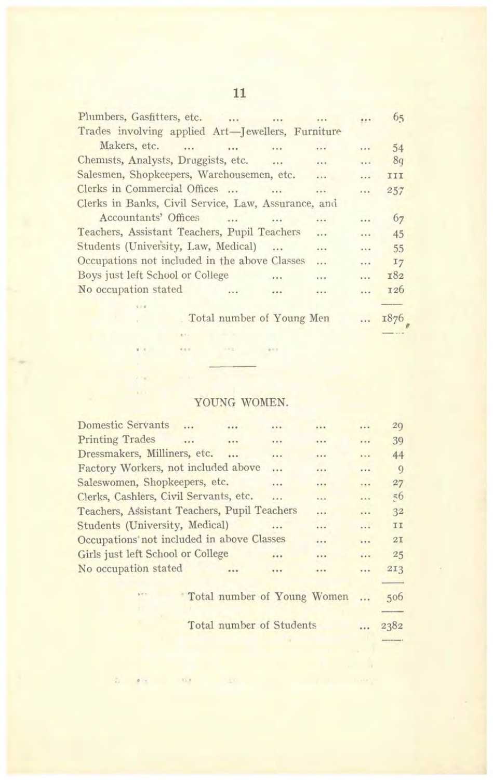| Plumbers, Gasfitters, etc.<br>$\cdots$              |          |          |          | 65         |
|-----------------------------------------------------|----------|----------|----------|------------|
| Trades involving applied Art-Jewellers, Furniture   |          |          |          |            |
| Makers, etc.<br>$\cdots$                            | . 1.1    |          |          | 54         |
| Chemists, Analysts, Druggists, etc.                 | $\cdots$ |          | $\cdots$ | 8q         |
| Salesmen, Shopkeepers, Warehousemen, etc.           |          | $\cdots$ |          | III        |
| Clerks in Commercial Offices                        | $\ddots$ | $\cdots$ | $\cdots$ | 257        |
| Clerks in Banks, Civil Service, Law, Assurance, and |          |          |          |            |
| Accountants' Offices<br>$\overline{\phantom{a}}$    |          |          |          | 67         |
| Teachers, Assistant Teachers, Pupil Teachers        |          | $\cdots$ | $\cdots$ | 45         |
| Students (University, Law, Medical)                 | $\cdots$ |          | . 1.1    | 55         |
| Occupations not included in the above Classes       |          |          |          | I7         |
| Boys just left School or College                    |          | .        | $\cdots$ | <b>I82</b> |
| No occupation stated                                |          |          | $\cdots$ | <b>126</b> |
|                                                     |          |          |          |            |
| Total number of Young Men                           |          |          |          | 1876       |
|                                                     |          |          |          |            |

#### YOUNG WOMEN.

172 873

 $\frac{1}{6}$  :  $18.88$ 

 $\begin{array}{lllll} \color{red} \uparrow \color{black} \downarrow \color{black} & \color{red} \bullet \color{black} \uplus \color{black} \end{array}$ 

 $\langle \delta \rangle \langle \delta \rangle = \langle \langle \delta \rangle \rangle$ 

| <b>Domestic Servants</b>                     | <br>         |                                      |       |          | 20       |
|----------------------------------------------|--------------|--------------------------------------|-------|----------|----------|
| <b>Printing Trades</b>                       | <br>$\cdots$ |                                      |       |          | 39       |
| Dressmakers, Milliners, etc.                 | $\cdots$     |                                      |       | .        | 44       |
| Factory Workers, not included above          |              |                                      |       |          | $\Omega$ |
| Saleswomen, Shopkeepers, etc.                |              |                                      |       | $\cdots$ | 27       |
| Clerks, Cashiers, Civil Servants, etc.       |              | .                                    | 1.1.4 | $\cdots$ | 56       |
| Teachers, Assistant Teachers, Pupil Teachers |              |                                      |       |          | 32       |
| Students (University, Medical)               |              |                                      |       |          | II       |
| Occupations' not included in above Classes   |              |                                      |       |          | 2I       |
| Girls just left School or College            |              |                                      |       |          | 25       |
| No occupation stated                         |              |                                      |       |          | 2I3      |
| $3 - 5$                                      |              | <i>'</i> Total number of Young Women |       | $\cdots$ | 506      |
|                                              |              | Total number of Students             |       |          | 2382     |
|                                              |              |                                      |       |          |          |

11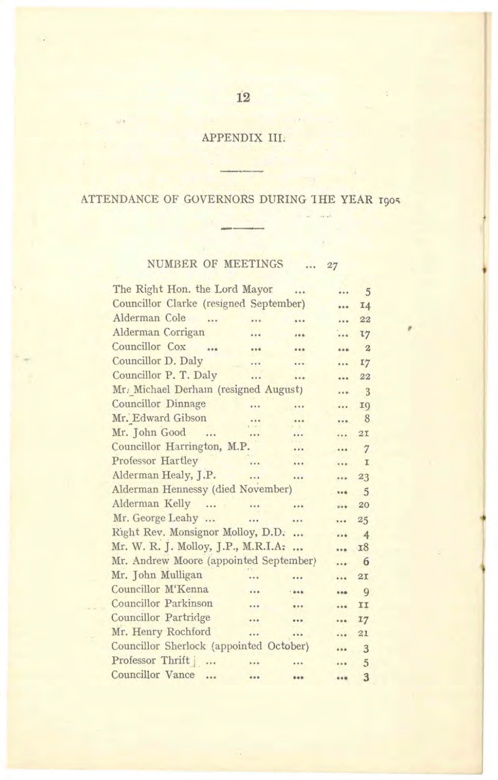#### APPENDIX III.

# ATTENDANCE OF GOVERNORS DURING THE YEAR 1905

----

## NUMBER OF MEETINGS ... 27

,

| The Right Hon. the Lord Mayor           |          |           |               | 5              |
|-----------------------------------------|----------|-----------|---------------|----------------|
| Councillor Clarke (resigned September)  |          |           |               | 14             |
| Alderman Cole<br>$\sim$                 | .        |           | $\cdots$      | 22             |
| Alderman Corrigan                       |          | .06       |               | I7             |
| Councillor Cox<br>$\overline{a}$        | .        |           | .006          | $\overline{a}$ |
| Councillor D. Daly                      |          |           | .             | I7             |
| Councillor P. T. Daly                   |          |           | $\frac{1}{2}$ | 22             |
| Mr. Michael Derham (resigned August)    |          |           | $\cdots$      | $\overline{3}$ |
| <b>Councillor Dinnage</b>               | $\cdots$ |           |               | IQ             |
| Mr. Edward Gibson                       |          |           |               | 8              |
| Mr. John Good                           | $\cdots$ |           | .             | 2I             |
| Councillor Harrington, M.P.             |          |           |               | $\overline{7}$ |
| Professor Hartley                       |          |           |               | I              |
| Alderman Healy, J.P.                    |          |           |               | 23             |
| Alderman Hennessy (died November)       |          |           |               | 5              |
| Alderman Kelly<br>$\ddots$              | .        |           | 0.06          | 20             |
| Mr. George Leahy                        |          |           |               | 25             |
| Right Rev. Monsignor Molloy, D.D.       |          | $\ddotsc$ |               | $\overline{4}$ |
| Mr. W. R. J. Molloy, J.P., M.R.I.A.     |          |           |               | <b>I8</b>      |
| Mr. Andrew Moore (appointed September)  |          |           |               | 6              |
| Mr. John Mulligan                       |          | 1.11      |               | 2I             |
| Councillor M'Kenna                      |          | $-0.06$   | 0.05          | 9              |
| <b>Councillor Parkinson</b>             | $\cdots$ |           | $\cdots$      | II             |
| Councillor Partridge                    | .        |           | .06           | I7             |
| Mr. Henry Rochford                      | .        |           |               | 21             |
| Councillor Sherlock (appointed October) |          |           |               | 3              |
| Professor Thrift j                      |          |           |               | 5              |
| <b>Councillor Vance</b><br>$\dddotsc$   | 0000     |           | 000           | 3              |
|                                         |          |           |               |                |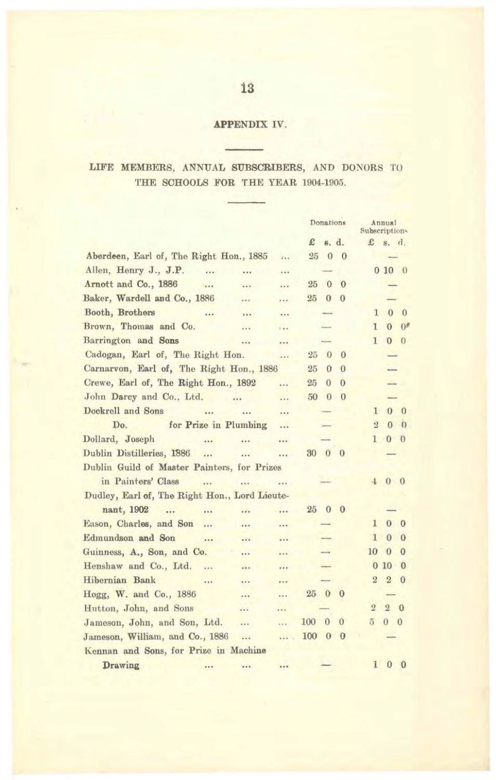#### **APPENDIX** IV.

#### LIFE MEMBERS, ANNUAL SUBSCRIBERS, AND DONORS TO THE SCHOOLS FOR THE YEAR 1904-1905.

|                                               |           |          |              |                | Donations    |                |                | Annual<br>Subscriptions |                |  |  |
|-----------------------------------------------|-----------|----------|--------------|----------------|--------------|----------------|----------------|-------------------------|----------------|--|--|
|                                               |           |          |              | £              |              | s. d.          |                | $E$ s. d.               |                |  |  |
| Aberdeen, Earl of, The Right Hon., 1885       | $P_{1,1}$ | $25\,$   | $\mathbf{0}$ | $\overline{0}$ |              |                |                |                         |                |  |  |
| Allen, Henry J., J.P.                         |           |          |              |                |              |                |                | 0100                    |                |  |  |
| Arnott and Co., 1886                          | 1.14      |          | $\sim$       | $25\,$         | $\theta$     | $\theta$       |                |                         |                |  |  |
| Baker, Wardell and Co., 1886                  |           |          | $\cdots$     | $25\,$         | $\bf{0}$     | $\theta$       |                |                         |                |  |  |
| Booth, Brothers                               |           |          |              |                |              |                | 1              |                         | $0\quad 0$     |  |  |
| Brown, Thomas and Co.                         |           |          | 1.1.1        |                |              |                | 1              | $\mathbf{0}$            | 0 <sup>0</sup> |  |  |
| Barrington and Sons                           |           |          |              |                |              |                | 1              | $\overline{0}$          | $\theta$       |  |  |
| Cadogan, Earl of, The Right Hon.              |           |          |              | 25             | $\theta$     | $\theta$       |                |                         |                |  |  |
| Carnarvon, Earl of, The Right Hon., 1886      |           |          |              | $25\,$         | $\theta$     | $\overline{0}$ |                |                         |                |  |  |
| Crewe, Earl of, The Right Hon., 1892          |           |          | $\cdots$     | $25\,$         | 0            | $\theta$       |                |                         |                |  |  |
| John Darcy and Co., Ltd.                      |           |          |              | 50             | $\theta$     | $\theta$       |                |                         |                |  |  |
| Dockrell and Sons                             |           | $\cdots$ |              |                |              |                | 1              |                         | $0\quad 0$     |  |  |
| Do.<br>for Prize in Plumbing                  |           |          |              |                |              |                | $\mathfrak{D}$ |                         | $0\quad 0$     |  |  |
| Dollard, Joseph                               |           |          |              |                |              |                | 1              | $0\quad 0$              |                |  |  |
| Dublin Distilleries, 1886                     |           |          |              | 30             | $\mathbf{0}$ | $\overline{0}$ |                |                         |                |  |  |
| Dublin Guild of Master Painters, for Prizes   |           |          |              |                |              |                |                |                         |                |  |  |
| in Painters' Class                            | $\cdots$  |          |              |                |              |                | 4              | $0\quad 0$              |                |  |  |
| Dudley, Earl of, The Right Hon., Lord Lieute- |           |          |              |                |              |                |                |                         |                |  |  |
| nant, 1902                                    |           | $\cdots$ |              | 25             | $\theta$     | $\theta$       |                |                         |                |  |  |
| Eason, Charles, and Son                       |           |          |              |                |              |                | 1              | $0\quad 0$              |                |  |  |
| Edmundson and Son                             |           |          |              |                |              |                | 1              | $\theta$<br>×           | $\theta$       |  |  |
| Guinness, A., Son, and Co.                    |           |          |              |                |              |                | 10             | $\bf{0}$                | $\mathbf{0}$   |  |  |
| Henshaw and Co., Ltd.                         |           |          |              |                |              |                |                | 010                     | $\theta$       |  |  |
| Hibernian Bank<br>All Car                     |           |          |              |                |              |                | $\overline{2}$ | $\overline{2}$          | $\bf{0}$       |  |  |
| Hogg, W. and Co., 1886                        |           |          |              | $25\,$         | $\theta$     | $\theta$       |                |                         |                |  |  |
| Hutton, John, and Sons                        |           |          | $\cdots$     |                |              |                | $\overline{2}$ | $\overline{2}$          | $\mathbf{0}$   |  |  |
| Jameson, John, and Son, Ltd.                  |           | $\cdots$ |              | 100            | $\theta$     | $\theta$       | 5              | $\theta$                | $\theta$       |  |  |
| Jameson, William, and Co., 1886               |           |          |              | 100            | $\bf{0}$     | $\theta$       |                |                         |                |  |  |
| Kennan and Sons, for Prize in Machine         |           |          |              |                |              |                |                |                         |                |  |  |
| Drawing                                       |           |          |              |                |              |                | 1              | $\bf{0}$                | $\bf{0}$       |  |  |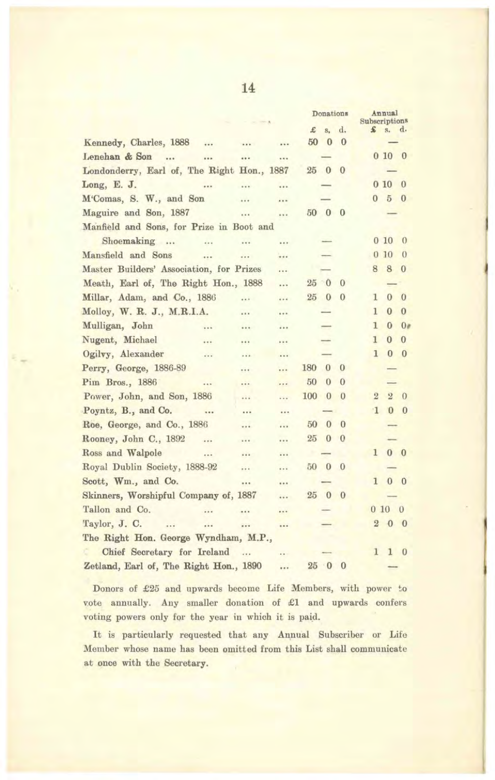|                                            |          | Donations |              |                | Annual<br>Subscriptions |                |                |                |
|--------------------------------------------|----------|-----------|--------------|----------------|-------------------------|----------------|----------------|----------------|
|                                            |          |           | £            | s.             | d.                      |                | $f$ $s$ .      | $d_{\cdot}$    |
| Kennedy, Charles, 1888<br>                 |          |           | 50           | $\bf{0}$       | $\theta$                |                |                |                |
| Lenehan & Son<br>$\cdots$<br>              |          |           |              |                |                         |                | 0100           |                |
| Londonderry, Earl of, The Right Hon., 1887 |          |           | $25\,$       | $\bf{0}$       | $\theta$                |                |                |                |
| Long, E. J.<br>                            |          |           |              |                |                         |                | 010            | $\theta$       |
| M'Comas, S. W., and Son                    |          |           |              |                |                         | $\overline{0}$ | $5\quad0$      |                |
| Maguire and Son, 1887                      | $\cdots$ |           |              | 50 0 0         |                         |                |                |                |
| Manfield and Sons, for Prize in Boot and   |          |           |              |                |                         |                |                |                |
| Shoemaking<br>$\cdots$                     | $\cdots$ |           |              |                |                         |                | 010            | $\theta$       |
| Mansfield and Sons<br>                     |          |           |              |                |                         | $\theta$       | 10             | $\theta$       |
| Master Builders' Association, for Prizes   |          |           |              |                |                         | 8              | 8              | $\overline{0}$ |
| Meath, Earl of, The Right Hon., 1888       |          | $\cdots$  | $25\,$       | $\theta$       | $\Omega$                |                |                |                |
| Millar, Adam, and Co., 1886                |          |           | $25\quad0$   |                | $\bf{0}$                | 1              | $\mathbf{0}$   | $\theta$       |
| Molloy, W. R. J., M.R.I.A.                 | .        | $\cdots$  |              |                |                         | 1              | $\bf{0}$       | $\overline{0}$ |
| Mulligan, John<br>                         |          |           |              |                |                         | 1              | $\theta$       | 0 <sub>x</sub> |
| Nugent, Michael<br>                        |          |           |              |                |                         | 1              | $\theta$       | $\theta$       |
| Ogilvy, Alexander<br>$\cdots$              | $-11$    |           |              |                |                         | 1              | $\theta$       | $\overline{0}$ |
| Perry, George, 1886-89                     |          |           | 180          | $\bf{0}$       | $\Omega$                |                |                |                |
| Pim Bros., 1886<br>                        |          |           | 50           | $\bf{0}$       | $\theta$                |                |                |                |
| Power, John, and Son, 1886                 |          | .         | 100          | $\theta$       | $\Omega$                | $\overline{2}$ | $\overline{2}$ | $\Omega$       |
| Poyntz, B., and Co.<br>                    |          |           |              |                |                         |                | $1\quad0$      | $\bf{0}$       |
| Roe, George, and Co., 1886                 |          |           | 50           | $\bf{0}$       | $\Omega$                |                |                |                |
| Rooney, John C., 1892<br>$\cdots$          |          |           | 25           | $\theta$       | $\theta$                |                |                |                |
| Ross and Walpole<br>$\cdots$               |          |           |              |                |                         | 1              |                | $0\quad 0$     |
| Royal Dublin Society, 1888-92              |          |           | 50           | $\overline{0}$ | $\theta$                |                |                |                |
| Scott, Wm., and Co.                        |          |           |              |                |                         | 1              |                | $0\quad 0$     |
| Skinners, Worshipful Company of, 1887      |          |           | $25\quad$    |                | $\theta$                |                |                |                |
| Tallon and Co.                             |          |           |              |                |                         |                | 0100           |                |
| Taylor, J. C.<br>$\cdots$<br>              | $\cdots$ |           |              |                |                         | $\overline{2}$ | $0\quad0$      |                |
| The Right Hon. George Wyndham, M.P.,       |          |           |              |                |                         |                |                |                |
| Chief Secretary for Ireland                | $\cdots$ |           |              |                |                         | 1              | 1              | $\overline{0}$ |
| Zetland, Earl of, The Right Hon., 1890     |          |           | $25 \cdot 0$ |                | $\overline{0}$          |                |                |                |

Donors of £25 and upwards become Life Members, with power to vote annually. Any smaller donation of  $£1$  and upwards confers voting powers only for the year in which it is paid.

It is particularly requested that any Annual Subscriber or Life Member whose name has been omitted from this List shall communicate at once with the Secretary.